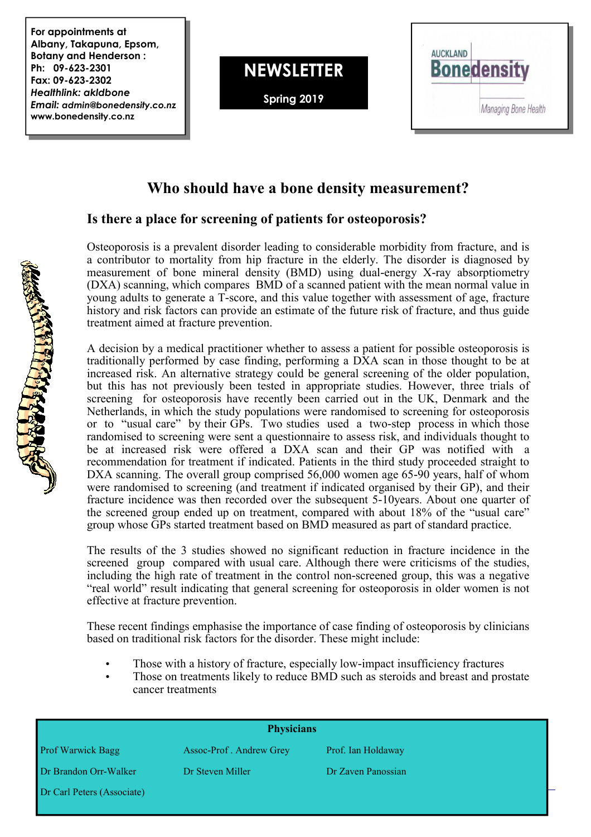**For appointments at Albany, Takapuna, Epsom, Botany and Henderson : Ph: 09-623-2301 Fax: 09-623-2302**  *Healthlink: akldbone Email: admin@bonedensity.co.nz*  **www.bonedensity.co.nz**



**Spring 2019** 



## **Who should have a bone density measurement?**

## **Is there a place for screening of patients for osteoporosis?**

Osteoporosis is a prevalent disorder leading to considerable morbidity from fracture, and is a contributor to mortality from hip fracture in the elderly. The disorder is diagnosed by measurement of bone mineral density (BMD) using dual-energy X-ray absorptiometry (DXA) scanning, which compares BMD of a scanned patient with the mean normal value in young adults to generate a T-score, and this value together with assessment of age, fracture history and risk factors can provide an estimate of the future risk of fracture, and thus guide treatment aimed at fracture prevention.

A decision by a medical practitioner whether to assess a patient for possible osteoporosis is traditionally performed by case finding, performing a DXA scan in those thought to be at increased risk. An alternative strategy could be general screening of the older population, but this has not previously been tested in appropriate studies. However, three trials of screening for osteoporosis have recently been carried out in the UK, Denmark and the Netherlands, in which the study populations were randomised to screening for osteoporosis or to "usual care" by their GPs. Two studies used a two-step process in which those randomised to screening were sent a questionnaire to assess risk, and individuals thought to be at increased risk were offered a DXA scan and their GP was notified with a recommendation for treatment if indicated. Patients in the third study proceeded straight to DXA scanning. The overall group comprised 56,000 women age 65-90 years, half of whom were randomised to screening (and treatment if indicated organised by their GP), and their fracture incidence was then recorded over the subsequent 5-10years. About one quarter of the screened group ended up on treatment, compared with about 18% of the "usual care" group whose GPs started treatment based on BMD measured as part of standard practice.

The results of the 3 studies showed no significant reduction in fracture incidence in the screened group compared with usual care. Although there were criticisms of the studies, including the high rate of treatment in the control non-screened group, this was a negative "real world" result indicating that general screening for osteoporosis in older women is not effective at fracture prevention.

These recent findings emphasise the importance of case finding of osteoporosis by clinicians based on traditional risk factors for the disorder. These might include:

- Those with a history of fracture, especially low-impact insufficiency fractures
- Those on treatments likely to reduce BMD such as steroids and breast and prostate cancer treatments

| <b>Physicians</b>          |                         |                    |
|----------------------------|-------------------------|--------------------|
| Prof Warwick Bagg          | Assoc-Prof. Andrew Grey | Prof. Ian Holdaway |
| Dr Brandon Orr-Walker      | Dr Steven Miller        | Dr Zaven Panossian |
| Dr Carl Peters (Associate) |                         |                    |